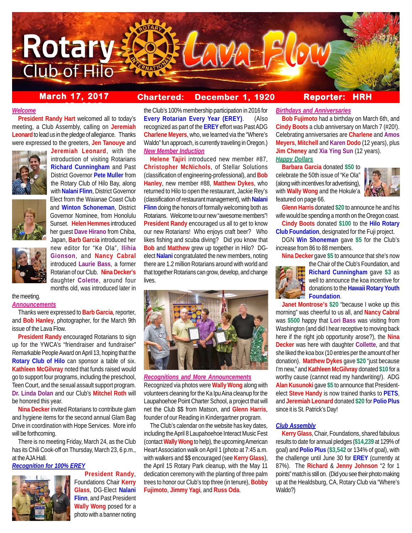

# **March 17, 2017 Chartered: December 1, 1920**

# **Reporter: HRH**

### *Welcome*

**President Randy Hart** welcomed all to today's meeting, a Club Assembly, calling on **Jeremiah Leonard** to lead us in the pledge of allegiance. Thanks were expressed to the greeters, **Jen Tanouye** and

**ber 25, 2015**





the meeting. *Announcements*

Thanks were expressed to **Barb Garcia**, reporter, and **Bob Hanley**, photographer, for the March 9th issue of the Lava Flow.

**President Randy** encouraged Rotarians to sign up for the YWCA's "friendraiser and fundraiser" Remarkable People Award on April 13, hoping that the **Rotary Club of Hilo** can sponsor a table of six. **Kathleen McGilvray** noted that funds raised would go to support four programs, including the preschool, Teen Court, and the sexual assault support program. **Dr. Linda Dolan** and our Club's **Mitchel Roth** will be honored this year.

**Nina Decker** invited Rotarians to contribute glam and hygiene items for the second annual Glam Bag Drive in coordination with Hope Services. More info will be forthcoming.

There is no meeting Friday, March 24, as the Club has its Chili Cook-off on Thursday, March 23, 6 p.m., at the AJA Hall.

### *Recognition for 100% EREY*



Foundations Chair **Kerry Glass**, DG-Elect **Nalani Flinn**, and Past President **Wally Wong** posed for a photo with a banner noting

**President Randy**,

the Club's 100% membership participation in 2016 for **Every Rotarian Every Year (EREY)**. (Also recognized as part of the **EREY** effort was Past ADG **Charlene Meyers**, who, we learned via the "Where's Waldo" fun approach, is currently traveling in Oregon.) *New Member Induction*

**Helene Tajiri** introduced new member #87, **Christopher McNichols**, of Stellar Solutions (classification of engineering-professional), and **Bob Hanley**, new member #88, **Matthew Dykes**, who returned to Hilo to open the restaurant, Jackie Rey's (classification of restaurant management), with **Nalani Flinn** doing the honors of formally welcoming both as Rotarians. Welcome to our new "awesome members"! **President Randy** encouraged us all to get to know our new Rotarians! Who enjoys craft beer? Who likes fishing and scuba diving? Did you know that **Bob** and **Matthew** grew up together in Hilo? DGelect **Nalani** congratulated the new members, noting there are 1.2 million Rotarians around with world and that together Rotarians can grow, develop, and change lives.



*Recognitions and More Announcements* Recognized via photos were **Wally Wong** along with volunteers cleaning for the Ka Ipu Aina cleanup for the Laupahoehoe Point Charter School, a project that will net the Club \$\$ from Matson, and **Glenn Harris**, founder of our Reading in Kindergartner program.

The Club's calendar on the website has key dates, including the April 8 Laupahoehoe Interact Music Fest (contact **Wally Wong** to help), the upcoming American Heart Association walk on April 1 (photo at 7:45 a.m. with walkers and \$\$ encouraged (see **Kerry Glass**), the April 15 Rotary Park cleanup, with the May 11 dedication ceremony with the planting of three palm trees to honor our Club's top three (in tenure), **Bobby Fujimoto**, **Jimmy Yagi**, and **Russ Oda**.

### *Birthdays and Anniversaries*

**Bob Fujimoto** had a birthday on March 6th, and **Cindy Boots** a club anniversary on March 7 (#20!). Celebrating anniversaries are **Charlene** and **Amos Meyers**, **Mitchell** and **Karen Dodo** (12 years), plus **Jim Cheney** and **Xia Ying Sun** (12 years). *Happy Dollars*

**Barbara Garcia** donated **\$50** to celebrate the 50th issue of "Ke Ola" (along with incentives for advertising), with **Wally Wong** and the Hokule'a featured on page 66.



**Glenn Harris** donated **\$20** to announce he and his wife would be spending a month on the Oregon coast.

**Cindy Boots** donated **\$100** to the **Hilo Rotary Club Foundation**, designated for the Fuji project.

DGN **Win Shoneman** gave **\$5** for the Club's increase from 86 to 88 members.

**Nina Decker** gave **\$5** to announce that she's now



the Chair of the Club's Foundation, and **Richard Cunningham** gave **\$3** as well to announce the koa incentive for donations to the **Hawaii Rotary Youth Foundation**.

**Janet Montrose's \$20** "because I woke up this morning" was cheerful to us all, and **Nancy Cabral** was **\$500** happy that **Lori Bass** was visiting from Washington (and did I hear receptive to moving back here if the right job opportunity arose?), the **Nina Decker** was here with daughter **Collette**, and that she liked the koa box (10 entries per the amount of her donation). **Matthew Dykes** gave **\$20** "just because I'm new," and **Kathleen McGilvray** donated **\$10** for a worthy cause (cannot read my handwriting!). ADG **Alan Kusunoki** gave **\$5** to announce that Presidentelect **Steve Handy** is now trained thanks to **PETS**, and **Jeremiah Leonard** donated **\$20** for **Polio Plus** since it is St. Patrick's Day!

#### *Club Assembly*

**Kerry Glass**, Chair, Foundations, shared fabulous results to date for annual pledges (**\$14,239** at 129% of goal) and **Polio Plus** (**\$3,542** or 134% of goal), with the challenge until June 30 for **EREY** (currently at 87%). The **Richard** & **Jenny Johnson** "2 for 1 points" match is still on. (Did you see their photo making up at the Healdsburg, CA, Rotary Club via "Where's Waldo?)